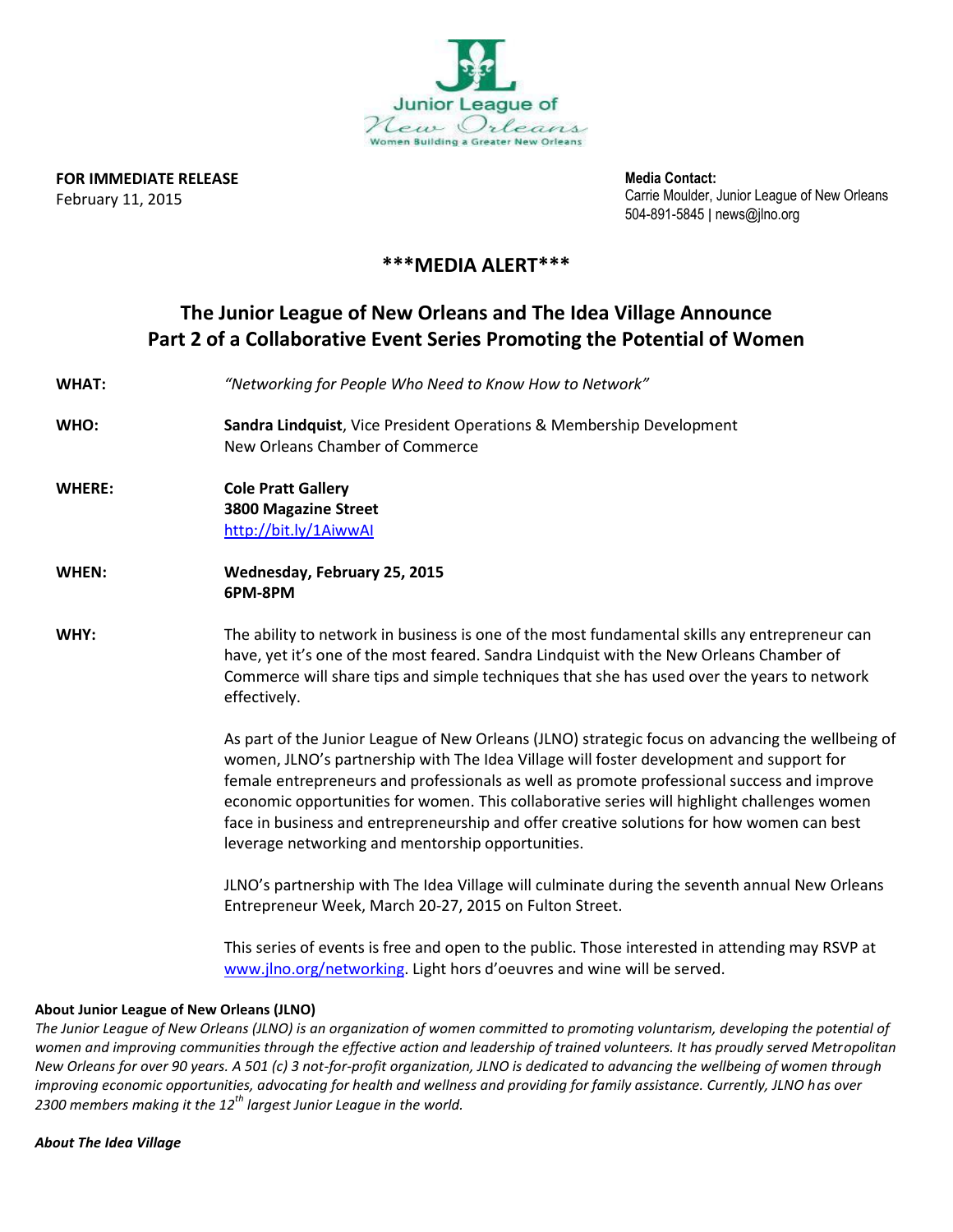

**FOR IMMEDIATE RELEASE** February 11, 2015

**Media Contact:** Carrie Moulder, Junior League of New Orleans 504-891-5845 ǀ news@jlno.org

## **\*\*\*MEDIA ALERT\*\*\***

## **The Junior League of New Orleans and The Idea Village Announce Part 2 of a Collaborative Event Series Promoting the Potential of Women**

| <b>WHAT:</b>  | "Networking for People Who Need to Know How to Network"                                                                                                                                                                                                                                                                                                                                                                                                                                                                                    |
|---------------|--------------------------------------------------------------------------------------------------------------------------------------------------------------------------------------------------------------------------------------------------------------------------------------------------------------------------------------------------------------------------------------------------------------------------------------------------------------------------------------------------------------------------------------------|
| WHO:          | Sandra Lindquist, Vice President Operations & Membership Development<br>New Orleans Chamber of Commerce                                                                                                                                                                                                                                                                                                                                                                                                                                    |
| <b>WHERE:</b> | <b>Cole Pratt Gallery</b><br><b>3800 Magazine Street</b><br>http://bit.ly/1AiwwAl                                                                                                                                                                                                                                                                                                                                                                                                                                                          |
| WHEN:         | Wednesday, February 25, 2015<br>6PM-8PM                                                                                                                                                                                                                                                                                                                                                                                                                                                                                                    |
| WHY:          | The ability to network in business is one of the most fundamental skills any entrepreneur can<br>have, yet it's one of the most feared. Sandra Lindquist with the New Orleans Chamber of<br>Commerce will share tips and simple techniques that she has used over the years to network<br>effectively.                                                                                                                                                                                                                                     |
|               | As part of the Junior League of New Orleans (JLNO) strategic focus on advancing the wellbeing of<br>women, JLNO's partnership with The Idea Village will foster development and support for<br>female entrepreneurs and professionals as well as promote professional success and improve<br>economic opportunities for women. This collaborative series will highlight challenges women<br>face in business and entrepreneurship and offer creative solutions for how women can best<br>leverage networking and mentorship opportunities. |
|               | JLNO's partnership with The Idea Village will culminate during the seventh annual New Orleans<br>Entrepreneur Week, March 20-27, 2015 on Fulton Street.                                                                                                                                                                                                                                                                                                                                                                                    |
|               | This series of events is free and open to the public. Those interested in attending may RSVP at<br>www.jlno.org/networking. Light hors d'oeuvres and wine will be served.                                                                                                                                                                                                                                                                                                                                                                  |

## **About Junior League of New Orleans (JLNO)**

*The Junior League of New Orleans (JLNO) is an organization of women committed to promoting voluntarism, developing the potential of women and improving communities through the effective action and leadership of trained volunteers. It has proudly served Metropolitan New Orleans for over 90 years. A 501 (c) 3 not-for-profit organization, JLNO is dedicated to advancing the wellbeing of women through improving economic opportunities, advocating for health and wellness and providing for family assistance. Currently, JLNO has over 2300 members making it the 12th largest Junior League in the world.*

*About The Idea Village*